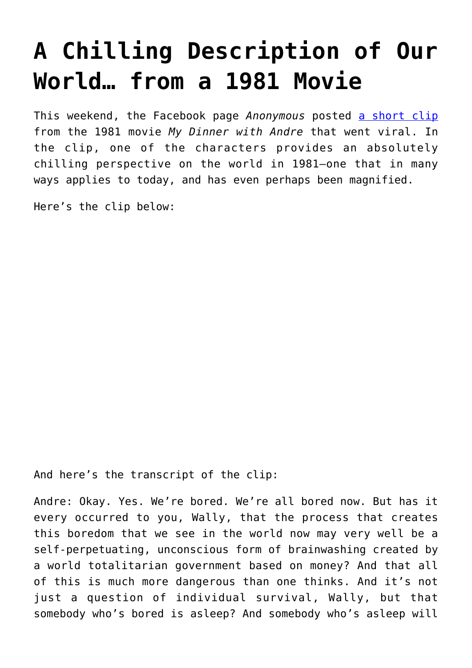## **[A Chilling Description of Our](https://intellectualtakeout.org/2016/03/a-chilling-description-of-our-world-from-a-1981-movie/) [World… from a 1981 Movie](https://intellectualtakeout.org/2016/03/a-chilling-description-of-our-world-from-a-1981-movie/)**

This weekend, the Facebook page *Anonymous* posted [a short clip](https://www.facebook.com/anonews.co/videos/vb.997108126967413/1194970747181149/?type=2&theater) from the 1981 movie *My Dinner with Andre* that went viral. In the clip, one of the characters provides an absolutely chilling perspective on the world in 1981—one that in many ways applies to today, and has even perhaps been magnified.

Here's the clip below:

And here's the transcript of the clip:

Andre: Okay. Yes. We're bored. We're all bored now. But has it every occurred to you, Wally, that the process that creates this boredom that we see in the world now may very well be a self-perpetuating, unconscious form of brainwashing created by a world totalitarian government based on money? And that all of this is much more dangerous than one thinks. And it's not just a question of individual survival, Wally, but that somebody who's bored is asleep? And somebody who's asleep will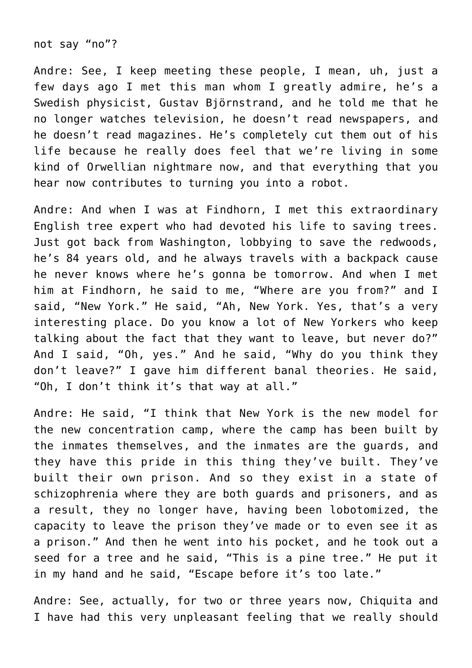not say "no"?

Andre: See, I keep meeting these people, I mean, uh, just a few days ago I met this man whom I greatly admire, he's a Swedish physicist, Gustav Björnstrand, and he told me that he no longer watches television, he doesn't read newspapers, and he doesn't read magazines. He's completely cut them out of his life because he really does feel that we're living in some kind of Orwellian nightmare now, and that everything that you hear now contributes to turning you into a robot.

Andre: And when I was at Findhorn, I met this extraordinary English tree expert who had devoted his life to saving trees. Just got back from Washington, lobbying to save the redwoods, he's 84 years old, and he always travels with a backpack cause he never knows where he's gonna be tomorrow. And when I met him at Findhorn, he said to me, "Where are you from?" and I said, "New York." He said, "Ah, New York. Yes, that's a very interesting place. Do you know a lot of New Yorkers who keep talking about the fact that they want to leave, but never do?" And I said, "Oh, yes." And he said, "Why do you think they don't leave?" I gave him different banal theories. He said, "Oh, I don't think it's that way at all."

Andre: He said, "I think that New York is the new model for the new concentration camp, where the camp has been built by the inmates themselves, and the inmates are the guards, and they have this pride in this thing they've built. They've built their own prison. And so they exist in a state of schizophrenia where they are both guards and prisoners, and as a result, they no longer have, having been lobotomized, the capacity to leave the prison they've made or to even see it as a prison." And then he went into his pocket, and he took out a seed for a tree and he said, "This is a pine tree." He put it in my hand and he said, "Escape before it's too late."

Andre: See, actually, for two or three years now, Chiquita and I have had this very unpleasant feeling that we really should